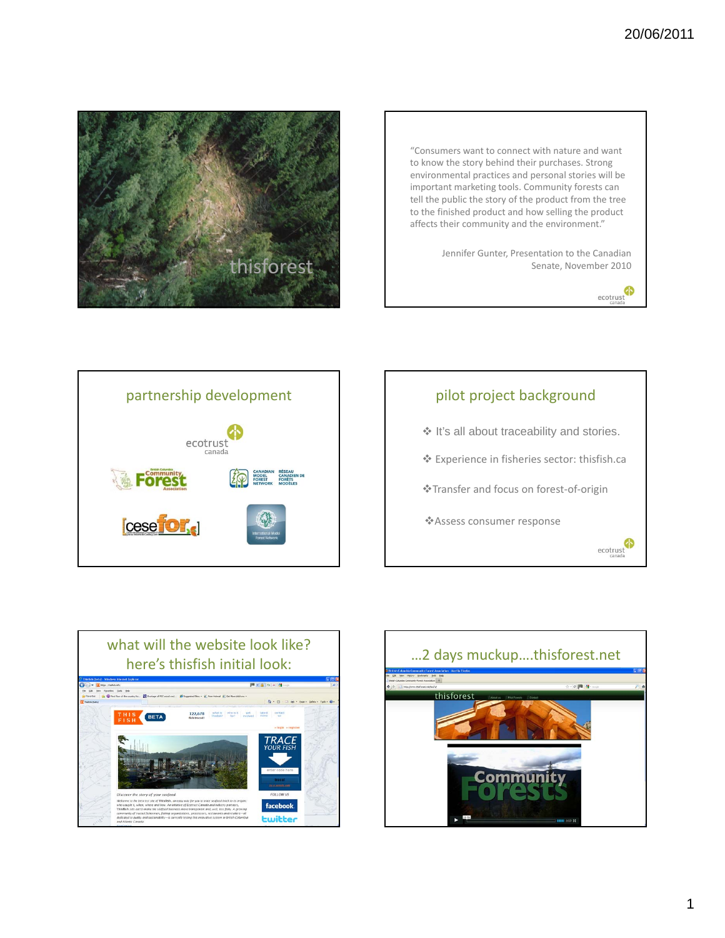

"Consumers want to connect with nature and want to know the story behind their purchases. Strong environmental practices and personal stories will be important marketing tools. Community forests can tell the public the story of the product from the tree to the finished product and how selling the product affects their community and the environment."

> Jennifer Gunter, Presentation to the Canadian Senate, November 2010

> > ecotrust